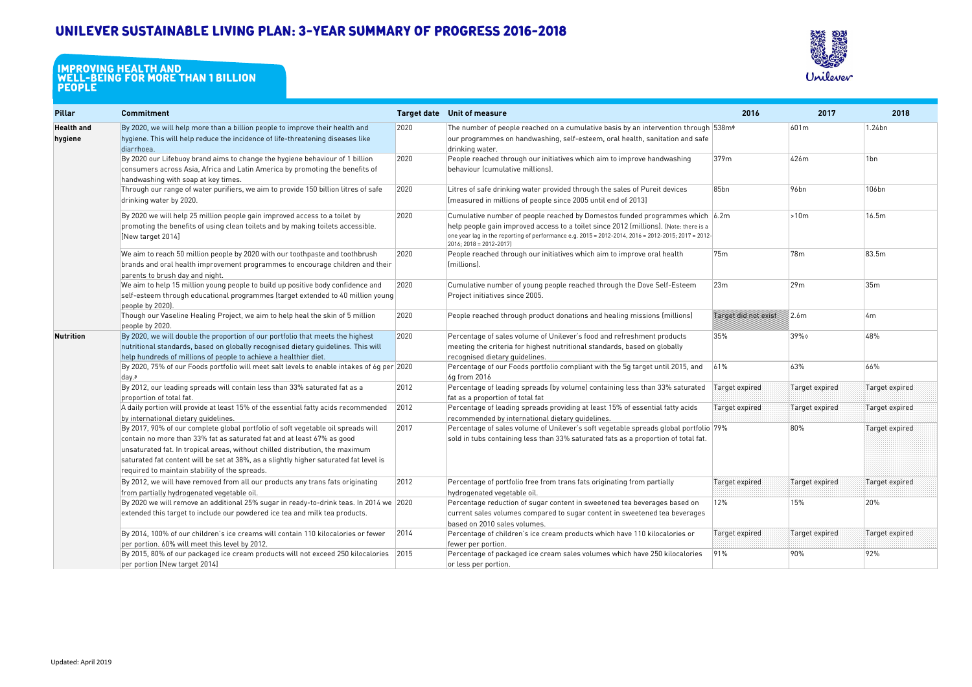## **Unilever Sustainable Living Plan: 3-year summary of progress 2016-2018**

| <b>Pillar</b>                | <b>Commitment</b>                                                                                                                                                                                                                                                                                                                                                                      |      | Target date Unit of measure                                                                                                                                                                                                                                                                               | 2016                 | 2017           | 2018           |
|------------------------------|----------------------------------------------------------------------------------------------------------------------------------------------------------------------------------------------------------------------------------------------------------------------------------------------------------------------------------------------------------------------------------------|------|-----------------------------------------------------------------------------------------------------------------------------------------------------------------------------------------------------------------------------------------------------------------------------------------------------------|----------------------|----------------|----------------|
| <b>Health and</b><br>hygiene | By 2020, we will help more than a billion people to improve their health and<br>hygiene. This will help reduce the incidence of life-threatening diseases like<br>diarrhoea.                                                                                                                                                                                                           | 2020 | The number of people reached on a cumulative basis by an intervention through $538m6$<br>our programmes on handwashing, self-esteem, oral health, sanitation and safe<br>drinking water.                                                                                                                  |                      | 601m           | 1.24bn         |
|                              | By 2020 our Lifebuoy brand aims to change the hygiene behaviour of 1 billion<br>consumers across Asia, Africa and Latin America by promoting the benefits of<br>handwashing with soap at key times.                                                                                                                                                                                    | 2020 | People reached through our initiatives which aim to improve handwashing<br>behaviour (cumulative millions).                                                                                                                                                                                               | 379m                 | 426m           | 1bn            |
|                              | Through our range of water purifiers, we aim to provide 150 billion litres of safe<br>drinking water by 2020.                                                                                                                                                                                                                                                                          | 2020 | Litres of safe drinking water provided through the sales of Pureit devices<br>[measured in millions of people since 2005 until end of 2013]                                                                                                                                                               | 85bn                 | 96bn           | 106bn          |
|                              | By 2020 we will help 25 million people gain improved access to a toilet by<br>promoting the benefits of using clean toilets and by making toilets accessible.<br>[New target 2014]                                                                                                                                                                                                     | 2020 | Cumulative number of people reached by Domestos funded programmes which 6.2m<br>help people gain improved access to a toilet since 2012 (millions). [Note: there is a<br>one year lag in the reporting of performance e.g. 2015 = 2012-2014, 2016 = 2012-2015; 2017 = 2012-<br>$2016$ ; 2018 = 2012-2017) |                      | >10m           | 16.5m          |
|                              | We aim to reach 50 million people by 2020 with our toothpaste and toothbrush<br>brands and oral health improvement programmes to encourage children and their<br>parents to brush day and night.                                                                                                                                                                                       | 2020 | People reached through our initiatives which aim to improve oral health<br>(millions)                                                                                                                                                                                                                     | 75m                  | 78m            | 83.5m          |
|                              | We aim to help 15 million young people to build up positive body confidence and<br>self-esteem through educational programmes (target extended to 40 million young<br>people by 2020).                                                                                                                                                                                                 | 2020 | Cumulative number of young people reached through the Dove Self-Esteem<br>Project initiatives since 2005.                                                                                                                                                                                                 | 23m                  | 29m            | 35m            |
|                              | Though our Vaseline Healing Project, we aim to help heal the skin of 5 million<br>people by 2020.                                                                                                                                                                                                                                                                                      | 2020 | People reached through product donations and healing missions (millions)                                                                                                                                                                                                                                  | Target did not exist | 2.6m           | 4m             |
| Nutrition                    | By 2020, we will double the proportion of our portfolio that meets the highest<br>nutritional standards, based on globally recognised dietary guidelines. This will<br>help hundreds of millions of people to achieve a healthier diet.                                                                                                                                                | 2020 | Percentage of sales volume of Unilever's food and refreshment products<br>meeting the criteria for highest nutritional standards, based on globally<br>recognised dietary guidelines.                                                                                                                     | 35%                  | 39%            | 48%            |
|                              | By 2020, 75% of our Foods portfolio will meet salt levels to enable intakes of 6g per 2020<br>day.8                                                                                                                                                                                                                                                                                    |      | Percentage of our Foods portfolio compliant with the 5g target until 2015, and<br>6g from 2016                                                                                                                                                                                                            | 61%                  | 63%            | 66%            |
|                              | By 2012, our leading spreads will contain less than 33% saturated fat as a<br>proportion of total fat.                                                                                                                                                                                                                                                                                 | 2012 | Percentage of leading spreads (by volume) containing less than 33% saturated<br>fat as a proportion of total fat                                                                                                                                                                                          | Target expired       | Target expired | Target expired |
|                              | A daily portion will provide at least 15% of the essential fatty acids recommended<br>by international dietary guidelines.                                                                                                                                                                                                                                                             | 2012 | Percentage of leading spreads providing at least 15% of essential fatty acids<br>recommended by international dietary guidelines.                                                                                                                                                                         | Target expired       | Target expired | Target expired |
|                              | By 2017, 90% of our complete global portfolio of soft vegetable oil spreads will<br>contain no more than 33% fat as saturated fat and at least 67% as good<br>unsaturated fat. In tropical areas, without chilled distribution, the maximum<br>saturated fat content will be set at 38%, as a slightly higher saturated fat level is<br>required to maintain stability of the spreads. | 2017 | Percentage of sales volume of Unilever's soft vegetable spreads global portfolio 79%<br>sold in tubs containing less than 33% saturated fats as a proportion of total fat.                                                                                                                                |                      | 80%            | Target expired |
|                              | By 2012, we will have removed from all our products any trans fats originating<br>from partially hydrogenated vegetable oil.                                                                                                                                                                                                                                                           | 2012 | Percentage of portfolio free from trans fats originating from partially<br>hydrogenated vegetable oil.                                                                                                                                                                                                    | Target expired       | Target expired | Target expired |
|                              | By 2020 we will remove an additional 25% sugar in ready-to-drink teas. In 2014 we 2020<br>extended this target to include our powdered ice tea and milk tea products.                                                                                                                                                                                                                  |      | Percentage reduction of sugar content in sweetened tea beverages based on<br>current sales volumes compared to sugar content in sweetened tea beverages<br>based on 2010 sales volumes.                                                                                                                   | 12%                  | 15%            | 20%            |
|                              | $\vert$ By 2014, 100% of our children's ice creams will contain 110 kilocalories or fewer<br>per portion. 60% will meet this level by 2012.                                                                                                                                                                                                                                            | 2014 | Percentage of children's ice cream products which have 110 kilocalories or<br>fewer per portion.                                                                                                                                                                                                          | Target expired       | Target expired | Target expired |
|                              | By 2015, 80% of our packaged ice cream products will not exceed 250 kilocalories 2015<br>per portion [New target 2014]                                                                                                                                                                                                                                                                 |      | Percentage of packaged ice cream sales volumes which have 250 kilocalories<br>or less per portion.                                                                                                                                                                                                        | 91%                  | 90%            | 92%            |

## **IMPROVING HEALTH AND WELL-BEING FOR MORE THAN 1 BILLION people**

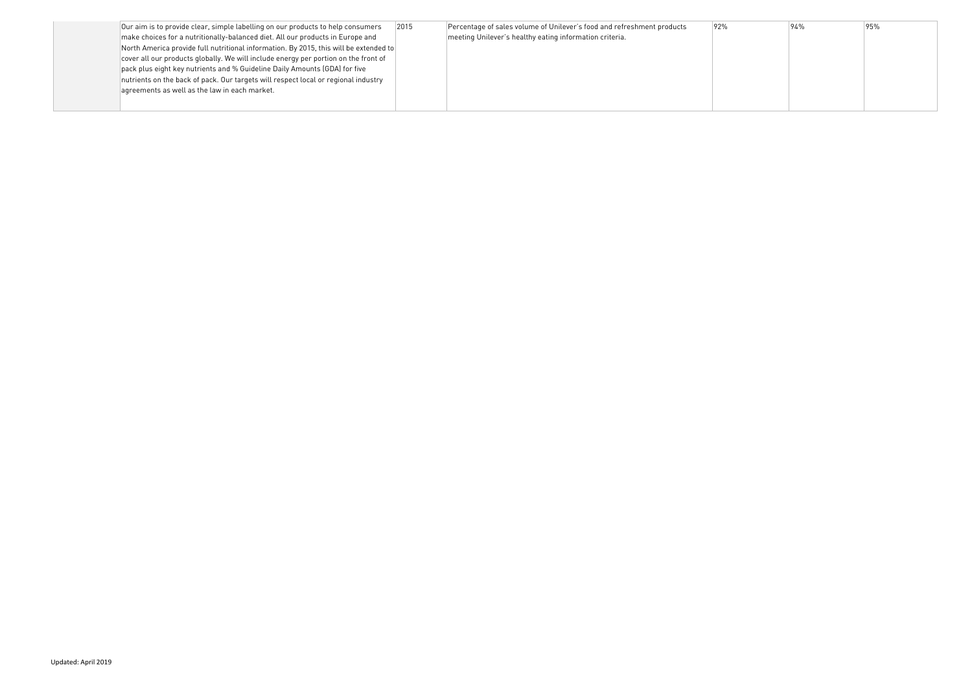| Our aim is to provide clear, simple labelling on our products to help consumers       | 2015 | Percentage of sales volume of Unilever's food and refreshment products | 92% |
|---------------------------------------------------------------------------------------|------|------------------------------------------------------------------------|-----|
| make choices for a nutritionally-balanced diet. All our products in Europe and        |      | meeting Unilever's healthy eating information criteria.                |     |
| North America provide full nutritional information. By 2015, this will be extended to |      |                                                                        |     |
| cover all our products globally. We will include energy per portion on the front of   |      |                                                                        |     |
| pack plus eight key nutrients and % Guideline Daily Amounts (GDA) for five            |      |                                                                        |     |
| nutrients on the back of pack. Our targets will respect local or regional industry    |      |                                                                        |     |
| agreements as well as the law in each market.                                         |      |                                                                        |     |
|                                                                                       |      |                                                                        |     |
|                                                                                       |      |                                                                        |     |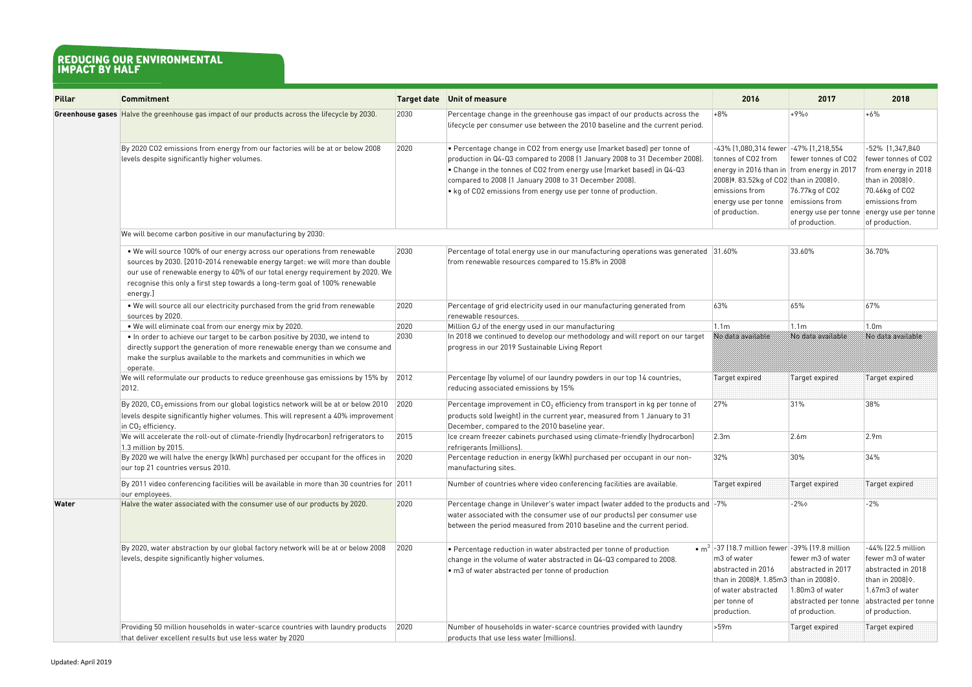| <b>Pillar</b> | <b>Commitment</b>                                                                                                                                                                                                                                                                                                                      |      | <b>Target date</b> Unit of measure                                                                                                                                                                                                                                                                                                                                                                      | 2016                                                                                                                                                                                                                                    | 2017                                                                                                 | 2018                                                                                                                                                            |
|---------------|----------------------------------------------------------------------------------------------------------------------------------------------------------------------------------------------------------------------------------------------------------------------------------------------------------------------------------------|------|---------------------------------------------------------------------------------------------------------------------------------------------------------------------------------------------------------------------------------------------------------------------------------------------------------------------------------------------------------------------------------------------------------|-----------------------------------------------------------------------------------------------------------------------------------------------------------------------------------------------------------------------------------------|------------------------------------------------------------------------------------------------------|-----------------------------------------------------------------------------------------------------------------------------------------------------------------|
|               | Greenhouse gases Halve the greenhouse gas impact of our products across the lifecycle by 2030.                                                                                                                                                                                                                                         | 2030 | Percentage change in the greenhouse gas impact of our products across the<br>lifecycle per consumer use between the 2010 baseline and the current period.                                                                                                                                                                                                                                               | $+8%$                                                                                                                                                                                                                                   | $+9\%$                                                                                               | $+6%$                                                                                                                                                           |
|               | By 2020 CO2 emissions from energy from our factories will be at or below 2008<br>levels despite significantly higher volumes.                                                                                                                                                                                                          | 2020 | $\bullet$ Percentage change in CO2 from energy use (market based) per tonne of<br>production in Q4-Q3 compared to 2008 (1 January 2008 to 31 December 2008)<br>$\bullet$ Change in the tonnes of CO2 from energy use (market based) in Q4-Q3 $^{\circ}$<br>compared to 2008 (1 January 2008 to 31 December 2008).<br>$\vert \bullet \vert$ kg of CO2 emissions from energy use per tonne of production. | -43% (1,080,314 fewer -47% (1,218,554<br>tonnes of CO2 from<br>energy in 2016 than in from energy in 2017<br>2008) <sup>¢</sup> . 83.52kg of CO2 than in 2008) $\diamond$ .<br>emissions from<br>energy use per tonne<br>of production. | fewer tonnes of CO2<br>76.77kg of CO2<br>emissions from<br>energy use per tonne<br>of production.    | -52% (1,347,840<br>fewer tonnes of CO2<br>from energy in 2018<br>than in 2008) 0.<br>70.46kg of CO2<br>emissions from<br>energy use per tonne<br>of production. |
|               | We will become carbon positive in our manufacturing by 2030:                                                                                                                                                                                                                                                                           |      |                                                                                                                                                                                                                                                                                                                                                                                                         |                                                                                                                                                                                                                                         |                                                                                                      |                                                                                                                                                                 |
|               | . We will source 100% of our energy across our operations from renewable<br>sources by 2030. [2010-2014 renewable energy target: we will more than double<br>our use of renewable energy to 40% of our total energy requirement by 2020. We<br>recognise this only a first step towards a long-term goal of 100% renewable<br>energy.] | 2030 | Percentage of total energy use in our manufacturing operations was generated 31.60%<br>from renewable resources compared to 15.8% in 2008                                                                                                                                                                                                                                                               |                                                                                                                                                                                                                                         | 33.60%                                                                                               | 36.70%                                                                                                                                                          |
|               | . We will source all our electricity purchased from the grid from renewable<br>sources by 2020.                                                                                                                                                                                                                                        | 2020 | Percentage of grid electricity used in our manufacturing generated from<br>renewable resources.                                                                                                                                                                                                                                                                                                         | 63%                                                                                                                                                                                                                                     | 65%                                                                                                  | 67%                                                                                                                                                             |
|               | . We will eliminate coal from our energy mix by 2020.                                                                                                                                                                                                                                                                                  | 2020 | Million GJ of the energy used in our manufacturing                                                                                                                                                                                                                                                                                                                                                      | 1.1 <sub>m</sub>                                                                                                                                                                                                                        | 1.1 <sub>m</sub>                                                                                     | 1.0 <sub>m</sub>                                                                                                                                                |
|               | . In order to achieve our target to be carbon positive by 2030, we intend to<br>directly support the generation of more renewable energy than we consume and<br>make the surplus available to the markets and communities in which we<br>operate.                                                                                      | 2030 | In 2018 we continued to develop our methodology and will report on our target<br>progress in our 2019 Sustainable Living Report                                                                                                                                                                                                                                                                         | No data avaitable                                                                                                                                                                                                                       | No data available                                                                                    | No data available                                                                                                                                               |
|               | We will reformulate our products to reduce greenhouse gas emissions by 15% by<br>2012.                                                                                                                                                                                                                                                 | 2012 | Percentage (by volume) of our laundry powders in our top 14 countries,<br>reducing associated emissions by 15%                                                                                                                                                                                                                                                                                          | Target expired                                                                                                                                                                                                                          | Target expired                                                                                       | Target expired                                                                                                                                                  |
|               | By 2020, $CO2$ emissions from our global logistics network will be at or below 2010<br>levels despite significantly higher volumes. This will represent a 40% improvement<br>in $CO2$ efficiency.                                                                                                                                      | 2020 | Percentage improvement in $CO2$ efficiency from transport in kg per tonne of<br>products sold (weight) in the current year, measured from 1 January to 31<br>December, compared to the 2010 baseline year.                                                                                                                                                                                              | 27%                                                                                                                                                                                                                                     | 31%                                                                                                  | 38%                                                                                                                                                             |
|               | We will accelerate the roll-out of climate-friendly (hydrocarbon) refrigerators to<br>1.3 million by 2015.                                                                                                                                                                                                                             | 2015 | Ice cream freezer cabinets purchased using climate-friendly (hydrocarbon)<br>refrigerants (millions).                                                                                                                                                                                                                                                                                                   | 2.3m                                                                                                                                                                                                                                    | 2.6m                                                                                                 | 2.9m                                                                                                                                                            |
|               | By 2020 we will halve the energy (kWh) purchased per occupant for the offices in<br>our top 21 countries versus 2010.                                                                                                                                                                                                                  | 2020 | Percentage reduction in energy (kWh) purchased per occupant in our non-<br>manufacturing sites.                                                                                                                                                                                                                                                                                                         | 32%                                                                                                                                                                                                                                     | 30%                                                                                                  | 34%                                                                                                                                                             |
|               | By 2011 video conferencing facilities will be available in more than 30 countries for 2011<br>our employees.                                                                                                                                                                                                                           |      | Number of countries where video conferencing facilities are available.                                                                                                                                                                                                                                                                                                                                  | Target expired                                                                                                                                                                                                                          | Target expired                                                                                       | Target expired                                                                                                                                                  |
| Water         | Halve the water associated with the consumer use of our products by 2020.                                                                                                                                                                                                                                                              | 2020 | Percentage change in Unilever's water impact (water added to the products and -7%<br>water associated with the consumer use of our products) per consumer use<br>between the period measured from 2010 baseline and the current period.                                                                                                                                                                 |                                                                                                                                                                                                                                         | $-2\%$                                                                                               | $-2%$                                                                                                                                                           |
|               | By 2020, water abstraction by our global factory network will be at or below 2008<br>levels, despite significantly higher volumes.                                                                                                                                                                                                     | 2020 | $\bullet$ Percentage reduction in water abstracted per tonne of production<br>change in the volume of water abstracted in Q4-Q3 compared to 2008.<br>$\cdot$ m3 of water abstracted per tonne of production                                                                                                                                                                                             | • $m^3$ -37 (18.7 million fewer -39% (19.8 million<br>m3 of water<br>abstracted in 2016<br>than in 2008) <sup>¢</sup> . 1.85m3 than in 2008) $\diamond$ .<br>of water abstracted<br>per tonne of<br>production.                         | fewer m3 of water<br>abstracted in 2017<br>1.80m3 of water<br>abstracted per tonne<br>of production. | -44% (22.5 million<br>fewer m3 of water<br>abstracted in 2018<br>than in 2008) 0.<br>1.67m3 of water<br>abstracted per tonne<br>of production.                  |
|               | Providing 50 million households in water-scarce countries with laundry products<br>that deliver excellent results but use less water by 2020                                                                                                                                                                                           | 2020 | Number of households in water-scarce countries provided with laundry<br>products that use less water (millions).                                                                                                                                                                                                                                                                                        | 59m                                                                                                                                                                                                                                     | Target expired                                                                                       | <b>Target expired</b>                                                                                                                                           |

## **reducing our environmental impact by half**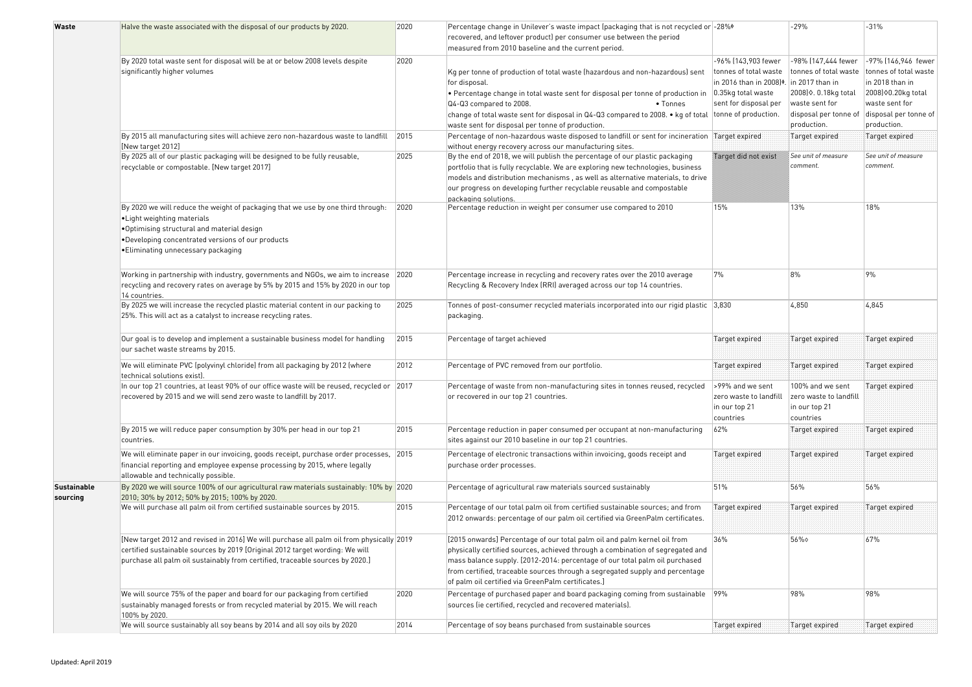| Waste                          | Halve the waste associated with the disposal of our products by 2020.                                                                                                                                                                                     | 2020 | Percentage change in Unilever's waste impact (packaging that is not recycled or -28%*                                                                                                                                                                                                                                                                                           |                                                                               | $-29%$                                                                   | $-31%$                                   |
|--------------------------------|-----------------------------------------------------------------------------------------------------------------------------------------------------------------------------------------------------------------------------------------------------------|------|---------------------------------------------------------------------------------------------------------------------------------------------------------------------------------------------------------------------------------------------------------------------------------------------------------------------------------------------------------------------------------|-------------------------------------------------------------------------------|--------------------------------------------------------------------------|------------------------------------------|
|                                |                                                                                                                                                                                                                                                           |      | recovered, and leftover product) per consumer use between the period<br>measured from 2010 baseline and the current period.                                                                                                                                                                                                                                                     |                                                                               |                                                                          |                                          |
|                                | By 2020 total waste sent for disposal will be at or below 2008 levels despite                                                                                                                                                                             | 2020 |                                                                                                                                                                                                                                                                                                                                                                                 | -96% (143,903 fewer                                                           | -98% [147,444 fewer                                                      | -97% (146,946 fewer                      |
|                                | significantly higher volumes                                                                                                                                                                                                                              |      | Kg per tonne of production of total waste (hazardous and non-hazardous) sent<br>for disposal.                                                                                                                                                                                                                                                                                   | tonnes of total waste<br>in 2016 than in 2008) <sup>¢</sup> . in 2017 than in | tonnes of total waste                                                    | tonnes of total waste<br>in 2018 than in |
|                                |                                                                                                                                                                                                                                                           |      | • Percentage change in total waste sent for disposal per tonne of production in                                                                                                                                                                                                                                                                                                 | $0.35$ kg total waste                                                         | 2008) $\diamond$ . 0.18kg total                                          | 2008) 0.20kg total                       |
|                                |                                                                                                                                                                                                                                                           |      | Q4-Q3 compared to 2008.<br>• Tonnes<br>change of total waste sent for disposal in Q4-Q3 compared to 2008. • kg of total tonne of production.                                                                                                                                                                                                                                    | sent for disposal per                                                         | waste sent for<br>disposal per tonne of                                  | waste sent for<br>disposal per tonne of  |
|                                |                                                                                                                                                                                                                                                           |      | waste sent for disposal per tonne of production.                                                                                                                                                                                                                                                                                                                                |                                                                               | production.                                                              | production.                              |
|                                | By 2015 all manufacturing sites will achieve zero non-hazardous waste to landfill                                                                                                                                                                         | 2015 | Percentage of non-hazardous waste disposed to landfill or sent for incineration Target expired                                                                                                                                                                                                                                                                                  |                                                                               | Target expired                                                           | Target expired                           |
|                                | [New target 2012]                                                                                                                                                                                                                                         |      | without energy recovery across our manufacturing sites.                                                                                                                                                                                                                                                                                                                         |                                                                               |                                                                          |                                          |
|                                | By 2025 all of our plastic packaging will be designed to be fully reusable,<br>recyclable or compostable. [New target 2017]                                                                                                                               | 2025 | By the end of 2018, we will publish the percentage of our plastic packaging<br>portfolio that is fully recyclable. We are exploring new technologies, business<br>models and distribution mechanisms, as well as alternative materials, to drive<br>our progress on developing further recyclable reusable and compostable<br>packaging solutions.                              | Target and not exist                                                          | See unit of measure<br>comment.                                          | See unit of measure<br>comment.          |
|                                | By 2020 we will reduce the weight of packaging that we use by one third through:<br>• Light weighting materials<br>.Optimising structural and material design<br>•Developing concentrated versions of our products<br>·Eliminating unnecessary packaging  | 2020 | Percentage reduction in weight per consumer use compared to 2010                                                                                                                                                                                                                                                                                                                | 15%                                                                           | 13%                                                                      | 18%                                      |
|                                | Working in partnership with industry, governments and NGOs, we aim to increase<br>recycling and recovery rates on average by 5% by 2015 and 15% by 2020 in our top<br>14 countries.                                                                       | 2020 | Percentage increase in recycling and recovery rates over the 2010 average<br>Recycling & Recovery Index (RRI) averaged across our top 14 countries.                                                                                                                                                                                                                             | 7%                                                                            | 8%                                                                       | 9%                                       |
|                                | By 2025 we will increase the recycled plastic material content in our packing to<br>25%. This will act as a catalyst to increase recycling rates.                                                                                                         | 2025 | Tonnes of post-consumer recycled materials incorporated into our rigid plastic $ 3,830\rangle$<br>packaging.                                                                                                                                                                                                                                                                    |                                                                               | 4,850                                                                    | 4,845                                    |
|                                | Our goal is to develop and implement a sustainable business model for handling<br>our sachet waste streams by 2015.                                                                                                                                       | 2015 | Percentage of target achieved                                                                                                                                                                                                                                                                                                                                                   | Target expired                                                                | Target expired                                                           | Target expired                           |
|                                | We will eliminate PVC (polyvinyl chloride) from all packaging by 2012 (where<br>technical solutions exist).                                                                                                                                               | 2012 | Percentage of PVC removed from our portfolio.                                                                                                                                                                                                                                                                                                                                   | Target expired                                                                | Target expired                                                           | Target expired                           |
|                                | In our top 21 countries, at least 90% of our office waste will be reused, recycled or 2017<br>recovered by 2015 and we will send zero waste to landfill by 2017.                                                                                          |      | $ $ Percentage of waste from non-manufacturing sites in tonnes reused, recycled $ $ >99% and we sent<br>or recovered in our top 21 countries.                                                                                                                                                                                                                                   | zero waste to landfill<br>in our top 21<br>countries                          | 100% and we sent<br>zero waste to landfill<br>in our top 21<br>countries | Target expired                           |
|                                | By 2015 we will reduce paper consumption by 30% per head in our top 21<br>countries.                                                                                                                                                                      | 2015 | Percentage reduction in paper consumed per occupant at non-manufacturing<br>sites against our 2010 baseline in our top 21 countries.                                                                                                                                                                                                                                            | 62%                                                                           | Target expired                                                           | Target expired                           |
|                                | $ \mathsf{W}\mathsf{e} $ will eliminate paper in our invoicing, goods receipt, purchase order processes, $ 2015\rangle$<br>financial reporting and employee expense processing by 2015, where legally<br>allowable and technically possible.              |      | Percentage of electronic transactions within invoicing, goods receipt and<br>purchase order processes.                                                                                                                                                                                                                                                                          | Target expired                                                                | Target expired                                                           | Target expired                           |
| <b>Sustainable</b><br>sourcing | By 2020 we will source 100% of our agricultural raw materials sustainably: 10% by 2020<br>2010; 30% by 2012; 50% by 2015; 100% by 2020.                                                                                                                   |      | Percentage of agricultural raw materials sourced sustainably                                                                                                                                                                                                                                                                                                                    | 51%                                                                           | 56%                                                                      | 56%                                      |
|                                | We will purchase all palm oil from certified sustainable sources by 2015.                                                                                                                                                                                 | 2015 | Percentage of our total palm oil from certified sustainable sources; and from<br>2012 onwards: percentage of our palm oil certified via GreenPalm certificates.                                                                                                                                                                                                                 | Target expired                                                                | Target expired                                                           | Target expired                           |
|                                |                                                                                                                                                                                                                                                           |      |                                                                                                                                                                                                                                                                                                                                                                                 |                                                                               |                                                                          |                                          |
|                                | [New target 2012 and revised in 2016] We will purchase all palm oil from physically 2019<br>certified sustainable sources by 2019 [Original 2012 target wording: We will<br>purchase all palm oil sustainably from certified, traceable sources by 2020.] |      | [2015 onwards] Percentage of our total palm oil and palm kernel oil from<br>physically certified sources, achieved through a combination of segregated and<br>mass balance supply. [2012-2014: percentage of our total palm oil purchased<br>from certified, traceable sources through a segregated supply and percentage<br>of palm oil certified via GreenPalm certificates.] | 36%                                                                           | 56%                                                                      | 67%                                      |
|                                | We will source 75% of the paper and board for our packaging from certified<br>sustainably managed forests or from recycled material by 2015. We will reach<br>100% by 2020.                                                                               | 2020 | Percentage of purchased paper and board packaging coming from sustainable 99%<br>sources (ie certified, recycled and recovered materials).                                                                                                                                                                                                                                      |                                                                               | 98%                                                                      | 98%                                      |
|                                | We will source sustainably all soy beans by 2014 and all soy oils by 2020                                                                                                                                                                                 | 2014 | Percentage of soy beans purchased from sustainable sources                                                                                                                                                                                                                                                                                                                      | Target expired                                                                | Target expired                                                           | Target expired                           |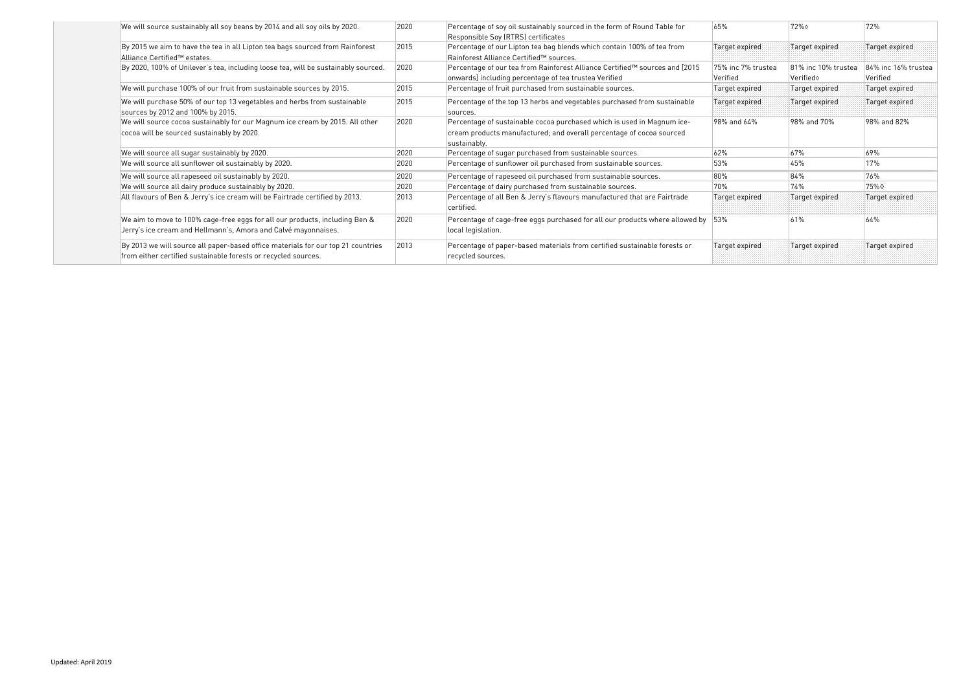| We will source sustainably all soy beans by 2014 and all soy oils by 2020.                                                                         | 2020 | Percentage of soy oil sustainably sourced in the form of Round Table for<br>Responsible Soy (RTRS) certificates                                                | 65%                             | 72%                              | 72%                             |
|----------------------------------------------------------------------------------------------------------------------------------------------------|------|----------------------------------------------------------------------------------------------------------------------------------------------------------------|---------------------------------|----------------------------------|---------------------------------|
| By 2015 we aim to have the tea in all Lipton tea bags sourced from Rainforest<br>Alliance Certified™ estates.                                      | 2015 | Percentage of our Lipton tea bag blends which contain 100% of tea from<br>Rainforest Alliance Certified™ sources.                                              | Target expired                  | Target expired                   | Target expired                  |
| By 2020, 100% of Unilever's tea, including loose tea, will be sustainably sourced.                                                                 | 2020 | Percentage of our tea from Rainforest Alliance Certified™ sources and [2015<br>onwards] including percentage of tea trustea Verified                           | 75% inc 7% trustea<br> Verified | 81% inc 10% trustea<br>Verifiedo | 84% inc 16% trustea<br>Verified |
| We will purchase 100% of our fruit from sustainable sources by 2015.                                                                               | 2015 | Percentage of fruit purchased from sustainable sources.                                                                                                        | Target expired                  | Target expired                   | Target expired                  |
| We will purchase 50% of our top 13 vegetables and herbs from sustainable<br>sources by 2012 and 100% by 2015.                                      | 2015 | Percentage of the top 13 herbs and vegetables purchased from sustainable<br>sources.                                                                           | Target expired                  | Target expired                   | Target expired                  |
| We will source cocoa sustainably for our Magnum ice cream by 2015. All other<br>cocoa will be sourced sustainably by 2020.                         | 2020 | Percentage of sustainable cocoa purchased which is used in Magnum ice-<br>cream products manufactured; and overall percentage of cocoa sourced<br>sustainably. | 98% and 64%                     | 98% and 70%                      | 98% and 82%                     |
| We will source all sugar sustainably by 2020.                                                                                                      | 2020 | Percentage of sugar purchased from sustainable sources.                                                                                                        | 62%                             | 67%                              | 69%                             |
| We will source all sunflower oil sustainably by 2020.                                                                                              | 2020 | Percentage of sunflower oil purchased from sustainable sources.                                                                                                | 53%                             | 45%                              | 17%                             |
| We will source all rapeseed oil sustainably by 2020.                                                                                               | 2020 | Percentage of rapeseed oil purchased from sustainable sources.                                                                                                 | 80%                             | 84%                              | 76%                             |
| We will source all dairy produce sustainably by 2020.                                                                                              | 2020 | Percentage of dairy purchased from sustainable sources.                                                                                                        | 70%                             | 74%                              | 75%♦                            |
| All flavours of Ben & Jerry's ice cream will be Fairtrade certified by 2013.                                                                       | 2013 | Percentage of all Ben & Jerry's flavours manufactured that are Fairtrade<br>certified.                                                                         | Target expired                  | Target expired                   | Target expired                  |
| We aim to move to 100% cage-free eggs for all our products, including Ben &<br>Jerry's ice cream and Hellmann's, Amora and Calvé mayonnaises.      | 2020 | Percentage of cage-free eggs purchased for all our products where allowed by<br>local legislation.                                                             | 53%                             | 61%                              | 64%                             |
| By 2013 we will source all paper-based office materials for our top 21 countries<br>from either certified sustainable forests or recycled sources. | 2013 | Percentage of paper-based materials from certified sustainable forests or<br>recycled sources.                                                                 | Target expired                  | Target expired                   | Target expired                  |